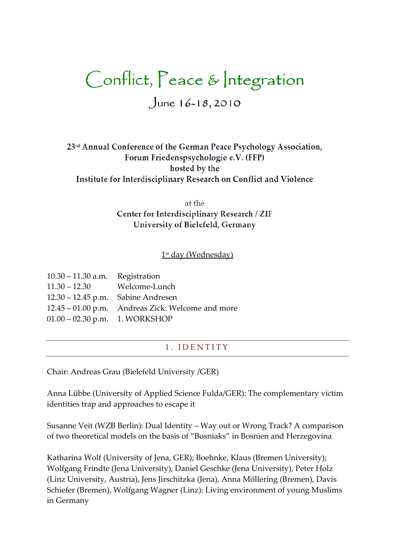# Conflict, Peace & Integration

June  $16 - 18, 2010$ 

23rd Annual Conference of the German Peace Psychology Association, Forum Friedenspsychologie e.V. (FFP) hosted by the Institute for Interdisciplinary Research on Conflict and Violence

> at the Center for Interdisciplinary Research / ZIF University of Bielefeld, Germany

#### $1^{\text{\tiny{st}}}$  day (Wednesday)

| $10.30 - 11.30$ a.m. Registration    |                                                   |
|--------------------------------------|---------------------------------------------------|
| $11.30 - 12.30$ Welcome-Lunch        |                                                   |
| $12.30 - 12.45$ p.m. Sabine Andresen |                                                   |
|                                      | 12.45 – 01.00 p.m. Andreas Zick: Welcome and more |
| $01.00 - 02.30$ p.m. 1. WORKSHOP     |                                                   |

#### 1. **IDENTITY**

Chair: Andreas Grau (Bielefeld University /GER)

Anna Lübbe (University of Applied Science Fulda/GER): The complementary victim identities trap and approaches to escape it

Susanne Veit (WZB Berlin): Dual Identity – Way out or Wrong Track? A comparison of two theoretical models on the basis of 'Bosniaks' in Bosnien and Herzegovina

Katharina Wolf (University of Jena, GER); Boehnke, Klaus (Bremen University); Wolfgang Frindte (Jena University), Daniel Geschke (Jena University), Peter Holz (Linz University, Austria), Jens Jirschitzka (Jena), Anna Möllering (Bremen), Davis Schiefer (Bremen), Wolfgang Wagner (Linz): Living environment of young Muslims in Germany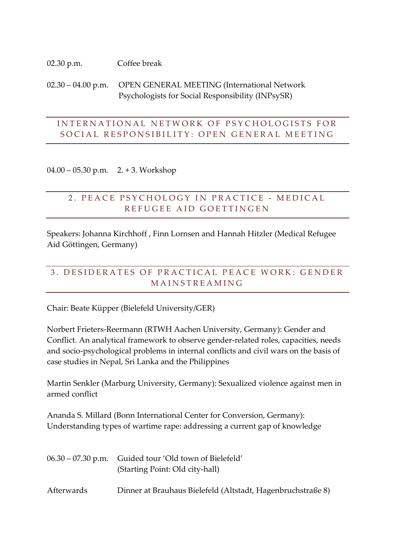#### 02.30 p.m. Coffee break

02.30 – 04.00 p.m. OPEN GENERAL MEETING (International Network Psychologists for Social Responsibility (INPsySR)

### INTERNATIONAL NETWORK OF PSYCHOLOGISTS FOR SOCIAL RESPONSIBILITY: OPEN GENERAL MEETING

04.00 – 05.30 p.m. 2. + 3. Workshop

### 2. PEACE PSYCHOLOGY IN PRACTICE - MEDICAL REFUGEE AID GOETTINGEN

Speakers: Johanna Kirchhoff , Finn Lornsen and Hannah Hitzler (Medical Refugee Aid Göttingen, Germany)

# 3. DESIDERATES OF PRACTICAL PEACE WORK: GENDER **MAINSTREAMING**

Chair: Beate Küpper (Bielefeld University/GER)

Norbert Frieters-Reermann (RTWH Aachen University, Germany): Gender and Conflict. An analytical framework to observe gender-related roles, capacities, needs and socio-psychological problems in internal conflicts and civil wars on the basis of case studies in Nepal, Sri Lanka and the Philippines

Martin Senkler (Marburg University, Germany): Sexualized violence against men in armed conflict

Ananda S. Millard (Bonn International Center for Conversion, Germany): Understanding types of wartime rape: addressing a current gap of knowledge

|            | 06.30 – 07.30 p.m. Guided tour 'Old town of Bielefeld'      |  |
|------------|-------------------------------------------------------------|--|
|            | (Starting Point: Old city-hall)                             |  |
|            |                                                             |  |
| Afterwards | Dinner at Brauhaus Bielefeld (Altstadt, Hagenbruchstraße 8) |  |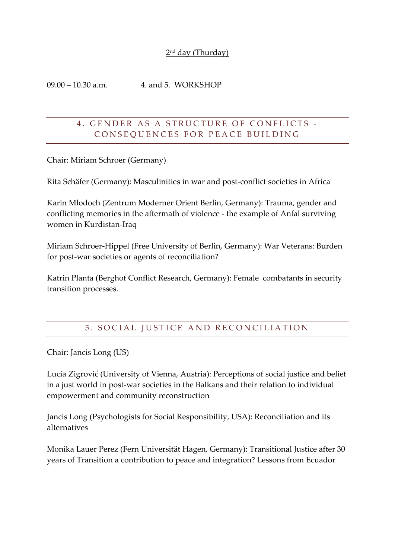#### 2<sup>nd</sup> day (Thurday)

09.00 – 10.30 a.m. 4. and 5. WORKSHOP

### 4. GENDER AS A STRUCTURE OF CONFLICTS -CONSEOUENCES FOR PEACE BUILDING

Chair: Miriam Schroer (Germany)

Rita Schäfer (Germany): Masculinities in war and post-conflict societies in Africa

Karin Mlodoch (Zentrum Moderner Orient Berlin, Germany): Trauma, gender and conflicting memories in the aftermath of violence - the example of Anfal surviving women in Kurdistan-Iraq

Miriam Schroer-Hippel (Free University of Berlin, Germany): War Veterans: Burden for post-war societies or agents of reconciliation?

Katrin Planta (Berghof Conflict Research, Germany): Female combatants in security transition processes.

# 5. SOCIAL JUSTICE AND RECONCILIATION

Chair: Jancis Long (US)

Lucia Zigrović (University of Vienna, Austria): Perceptions of social justice and belief in a just world in post-war societies in the Balkans and their relation to individual empowerment and community reconstruction

Jancis Long (Psychologists for Social Responsibility, USA): Reconciliation and its alternatives

Monika Lauer Perez (Fern Universität Hagen, Germany): Transitional Justice after 30 years of Transition a contribution to peace and integration? Lessons from Ecuador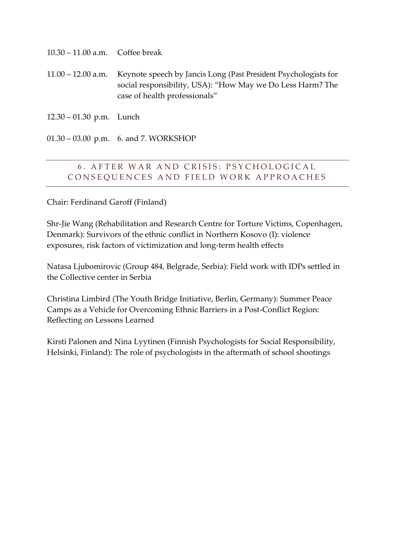| $10.30 - 11.00$ a.m. | Coffee break |  |
|----------------------|--------------|--|
|                      |              |  |

11.00 – 12.00 a.m. Keynote speech by Jancis Long (Past President Psychologists for social responsibility, USA): "How May we Do Less Harm? The case of health professionals'

12.30 – 01.30 p.m. Lunch

01.30 – 03.00 p.m. 6. and 7. WORKSHOP

### 6. AFTER WAR AND CRISIS: PSYCHOLOGICAL CONSEQUENCES AND FIELD WORK APPROACHES

Chair: Ferdinand Garoff (Finland)

Shr-Jie Wang (Rehabilitation and Research Centre for Torture Victims, Copenhagen, Denmark): Survivors of the ethnic conflict in Northern Kosovo (I): violence exposures, risk factors of victimization and long-term health effects

Natasa Ljubomirovic (Group 484, Belgrade, Serbia): Field work with IDPs settled in the Collective center in Serbia

Christina Limbird (The Youth Bridge Initiative, Berlin, Germany): Summer Peace Camps as a Vehicle for Overcoming Ethnic Barriers in a Post-Conflict Region: Reflecting on Lessons Learned

Kirsti Palonen and Nina Lyytinen (Finnish Psychologists for Social Responsibility, Helsinki, Finland): The role of psychologists in the aftermath of school shootings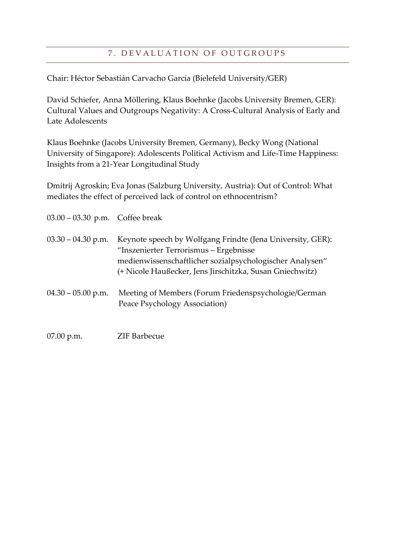## 7. DEVALUATION OF OUTGROUPS

Chair: Héctor Sebastián Carvacho García (Bielefeld University/GER)

David Schiefer, Anna Möllering, Klaus Boehnke (Jacobs University Bremen, GER): Cultural Values and Outgroups Negativity: A Cross-Cultural Analysis of Early and Late Adolescents

Klaus Boehnke (Jacobs University Bremen, Germany), Becky Wong (National University of Singapore): Adolescents Political Activism and Life-Time Happiness: Insights from a 21-Year Longitudinal Study

Dmitrij Agroskin; Eva Jonas (Salzburg University, Austria): Out of Control: What mediates the effect of perceived lack of control on ethnocentrism?

| $03.00 - 03.30$ p.m. Coffee break |                                                                                                                                                                                                                              |
|-----------------------------------|------------------------------------------------------------------------------------------------------------------------------------------------------------------------------------------------------------------------------|
| $03.30 - 04.30$ p.m.              | Keynote speech by Wolfgang Frindte (Jena University, GER):<br>"Inszenierter Terrorismus - Ergebnisse<br>medienwissenschaftlicher sozialpsychologischer Analysen"<br>(+ Nicole Haußecker, Jens Jirschitzka, Susan Gniechwitz) |
| $04.30 - 05.00$ p.m.              | Meeting of Members (Forum Friedenspsychologie/German<br>Peace Psychology Association)                                                                                                                                        |
| $07.00$ p.m.                      | <b>ZIF Barbecue</b>                                                                                                                                                                                                          |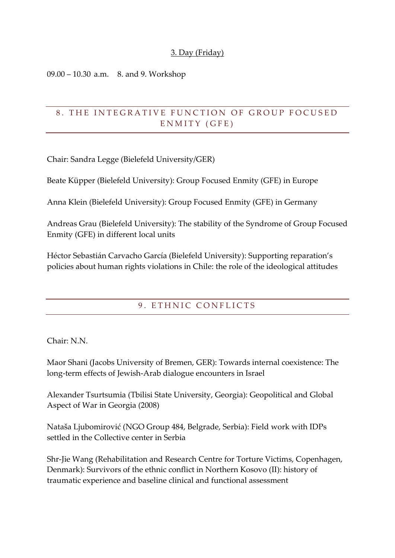#### 3. Day (Friday)

09.00 – 10.30 a.m. 8. and 9. Workshop

# 8. THE INTEGRATIVE FUNCTION OF GROUP FOCUSED ENMITY (GFE)

Chair: Sandra Legge (Bielefeld University/GER)

Beate Küpper (Bielefeld University): Group Focused Enmity (GFE) in Europe

Anna Klein (Bielefeld University): Group Focused Enmity (GFE) in Germany

Andreas Grau (Bielefeld University): The stability of the Syndrome of Group Focused Enmity (GFE) in different local units

Héctor Sebastián Carvacho García (Bielefeld University): Supporting reparation's policies about human rights violations in Chile: the role of the ideological attitudes

#### 9. ETHNIC CONFLICTS

Chair: N.N.

Maor Shani (Jacobs University of Bremen, GER): Towards internal coexistence: The long-term effects of Jewish-Arab dialogue encounters in Israel

Alexander Tsurtsumia (Tbilisi State University, Georgia): Geopolitical and Global Aspect of War in Georgia (2008)

Nataša Ljubomirović (NGO Group 484, Belgrade, Serbia): Field work with IDPs settled in the Collective center in Serbia

Shr-Jie Wang (Rehabilitation and Research Centre for Torture Victims, Copenhagen, Denmark): Survivors of the ethnic conflict in Northern Kosovo (II): history of traumatic experience and baseline clinical and functional assessment